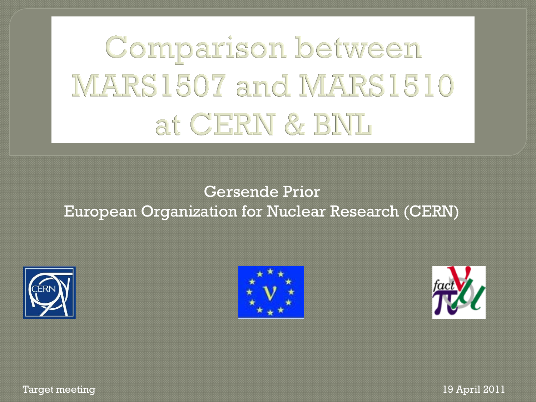# Comparison between MARS1507 and MARS1510 at CERN & BNL

### Gersende Prior European Organization for Nuclear Research (CERN)







Target meeting 19 April 2011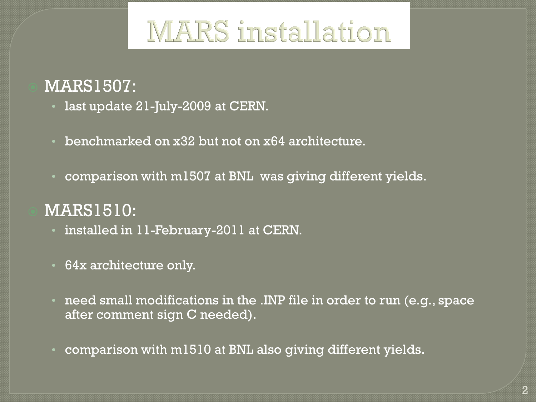# **MARS** installation

## MARS1507:

- last update 21-July-2009 at CERN.
- benchmarked on x32 but not on x64 architecture.
- comparison with m1507 at BNL was giving different yields.

## MARS1510:

- installed in 11-February-2011 at CERN.
- 64x architecture only.
- need small modifications in the .INP file in order to run (e.g., space after comment sign C needed).
- comparison with m1510 at BNL also giving different yields.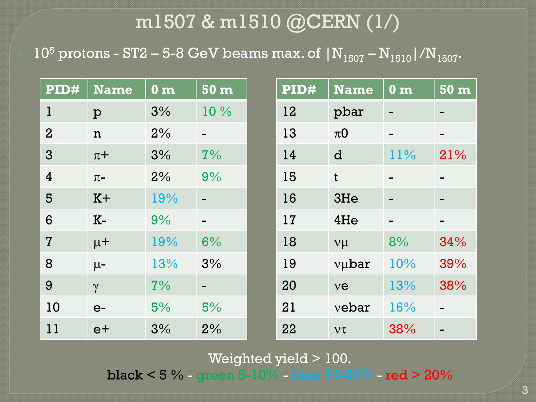## m1507 & m1510 @CERN (1/)

 $10^5$  protons - ST2 – 5-8 GeV beams max. of  $|N_{1507} - N_{1510}|/N_{1507}$ .

| PID#           | Name         | $\bf{0}$ m | 50 <sub>m</sub> | $\overline{\mathbf{PID}\#}$ | <b>Name</b>        | 0 <sub>m</sub> | $50 \,\mathrm{m}$ |
|----------------|--------------|------------|-----------------|-----------------------------|--------------------|----------------|-------------------|
| $\mathbf 1$    | $\mathbf{p}$ | 3%         | 10%             | 12                          | pbar               |                |                   |
| $\overline{2}$ | $\mathbf n$  | 2%         | $\blacksquare$  | 13                          | $\pi$ <sup>O</sup> | -              | -                 |
| $\overline{3}$ | $\pi$ +      | 3%         | 7%              | 14                          | d                  | 11%            | 21%               |
| $\overline{4}$ | $\pi$ -      | 2%         | 9%              | 15                          | $\mathbf t$        | $\blacksquare$ |                   |
| 5              | $K +$        | 19%        |                 | 16                          | 3He                |                |                   |
| 6              | $K-$         | 9%         |                 | 17                          | 4He                |                |                   |
| $\overline{7}$ | $\mu$ +      | 19%        | 6%              | 18                          | $v\mu$             | 8%             | 34%               |
| 8              | $\mu$ -      | 13%        | 3%              | 19                          | vubar              | 10%            | 39%               |
| 9              | $\gamma$     | 7%         | -               | 20                          | ve                 | 13%            | 38%               |
| 10             | $e-$         | 5%         | 5%              | 21                          | vebar              | 16%            |                   |
| 11             | $e+$         | 3%         | 2%              | 22                          | $V\tau$            | 38%            |                   |

#### Weighted yield > 100.

black < 5 % - green 5-10% - blue 10-20% - red > 20%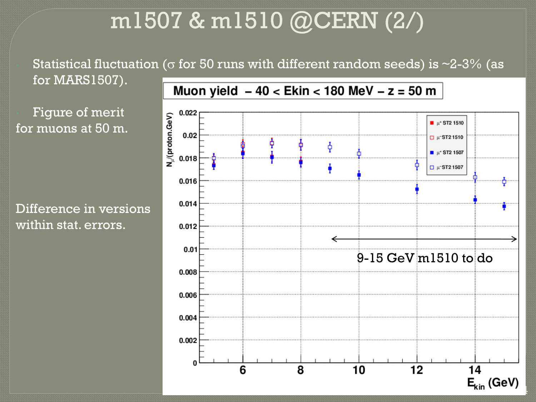# m1507 & m1510 @CERN (2/)

Statistical fluctuation ( $\sigma$  for 50 runs with different random seeds) is ~2-3% (as

for MARS1507).

Figure of merit for muons at 50 m.

Difference in versions within stat. errors.

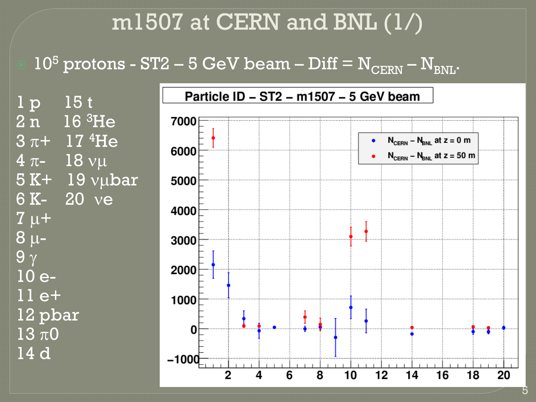# m1507 at CERN and BNL (1/)

 $10^5$  protons - ST2 – 5 GeV beam – Diff =  $N_{\text{CERN}}$  –  $N_{\text{BNL}}$ .

1 p 15 t 2 n 16 <sup>3</sup>He  $3 \pi + 17 \frac{4}{1}$ He  $4 \pi - 18 \text{ v}$  $5 K+ 19 v$ µbar 6 K- 20 ye  $\overline{7} \mu +$  $8 \mu 9<sub>\gamma</sub>$ 10 e-11 e+ 12 pbar  $13 \pi 0$ 14 d

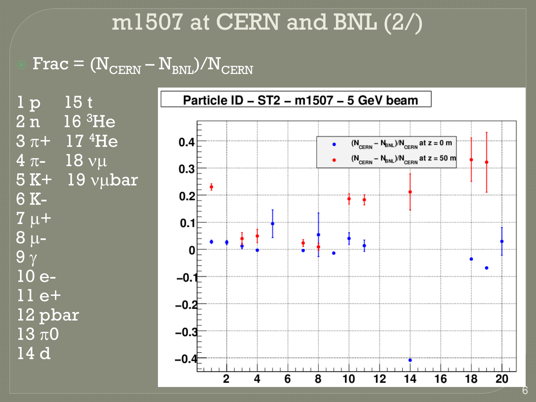# m1507 at CERN and BNL (2/)

 $\overline{\text{Frac}} = (\text{N}_{\text{CERN}} - \overline{\text{N}_{\text{BNL}}})/\text{N}_{\text{CERN}}$ 

1 p 15 t 2 n 16 <sup>3</sup>He  $3 \pi + 17 \frac{4}{1}$ He  $4 \pi - 18 \text{ v}$  $5 K+ 19 v$ µbar 6 K- $7 \mu +$  $8 \mu 9<sub>\gamma</sub>$ 10 e-11 e+ 12 pbar  $13 \pi 0$ 14 d

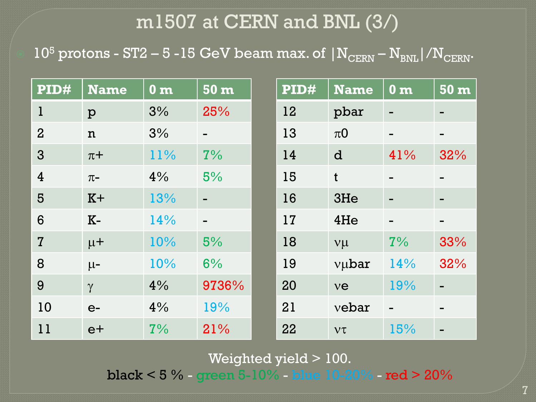## m1507 at CERN and BNL (3/)

 $10^5$  protons - ST2 – 5 -15 GeV beam max. of  $\rm { |N_{CERN}-N_{BNL}|/N_{CERN}.}$ 

| $\overline{\mathbf{PID}\#}$ | <b>Name</b>  | $\bf{0}$ m | $50 \,\mathrm{m}$ | PID# | <b>Name</b>        | 0 <sub>m</sub>           | $50 \text{ m}$           |
|-----------------------------|--------------|------------|-------------------|------|--------------------|--------------------------|--------------------------|
| $\mathbf{1}$                | $\mathbf{p}$ | 3%         | 25%               | 12   | pbar               | $\overline{\phantom{0}}$ | $\blacksquare$           |
| $\overline{2}$              | $\mathbf n$  | 3%         | -                 | 13   | $\pi$ <sup>O</sup> | $\overline{\phantom{0}}$ | -                        |
| 3                           | $\pi$ +      | 11%        | 7%                | 14   | d                  | 41%                      | 32%                      |
| $\overline{4}$              | $\pi$ -      | 4%         | 5%                | 15   | $\mathbf t$        | $\blacksquare$           |                          |
| 5                           | $K+$         | 13%        |                   | 16   | 3He                |                          |                          |
| 6                           | $K-$         | 14%        |                   | 17   | 4He                |                          |                          |
| $\overline{7}$              | $\mu$ +      | 10%        | 5%                | 18   | $V\mu$             | 7%                       | 33%                      |
| 8                           | $\mu$ -      | 10%        | 6%                | 19   | vubar              | 14%                      | 32%                      |
| 9                           | $\gamma$     | 4%         | 9736%             | 20   | ve                 | 19%                      | $\blacksquare$           |
| 10                          | $e-$         | 4%         | 19%               | 21   | vebar              | $\overline{\phantom{0}}$ | $\overline{\phantom{0}}$ |
| 11                          | $e+$         | 7%         | 21%               | 22   | $V\tau$            | 15%                      |                          |

#### Weighted yield > 100.

black < 5 % - green 5-10% - blue 10-20% - red > 20%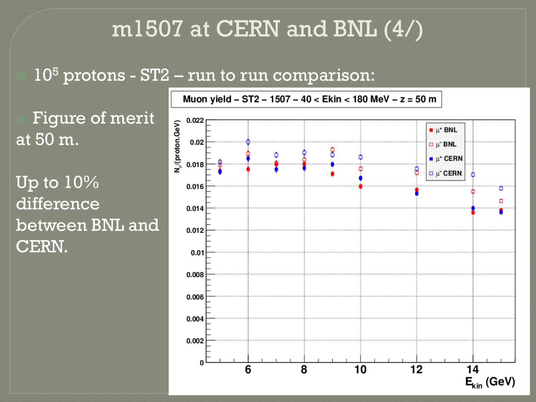# m1507 at CERN and BNL (4/)

## $10<sup>5</sup>$  protons - ST2 – run to run comparison:

 Figure of merit at 50 m.

Up to 10% difference between BNL and CERN.



8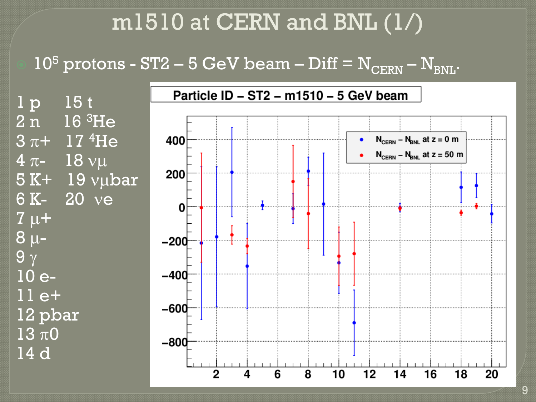# $m1510$  at CERN and BNL  $(1/)$

 $10^5$  protons - ST2 – 5 GeV beam – Diff =  $N_{\text{CERN}}$  –  $N_{\text{BNL}}$ .

1 p 15 t 2 n 16 <sup>3</sup>He  $3 \pi + 17 \frac{4}{1}$ He  $4 \pi - 18 \text{ v}$  $5 K+ 19 v$ µbar 6 K- 20 ye  $\overline{7} \mu +$  $8 \mu$ - $9<sub>\gamma</sub>$ 10 e-11 e+ 12 pbar  $13 \pi 0$ 14 d



9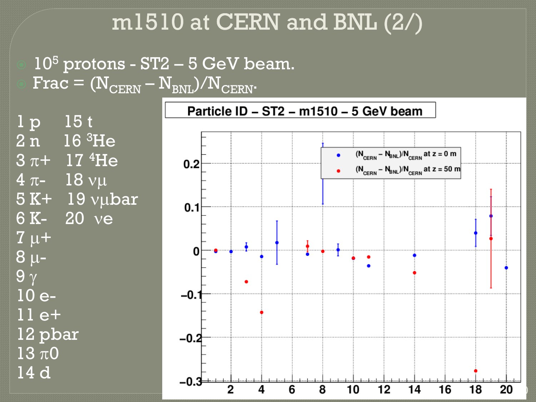# m1510 at CERN and BNL (2/)

 $10<sup>5</sup>$  protons - ST2 – 5 GeV beam.  $Frac = (N_{CERN} - N_{BNL})/N_{CERN}$ .

 $1\,\mathrm{p}$  15t  $2\,\overline{\text{n}}$  16  $^3\text{He}$  $3 \pi + 17 \frac{4}{1}$ He  $4 \pi - 18 \text{ v}$  $5 K+ 19 v\mu bar$ 6 K- 20 ye  $7 \mu +$  $8 \mu 9<sub>\gamma</sub>$ 10 e-11 e+ 12 pbar  $13 \pi 0$ 14 d

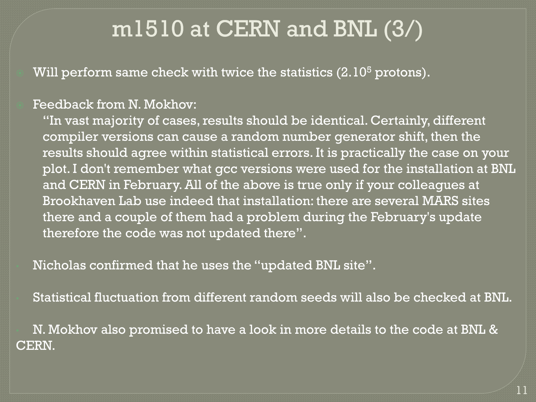# m1510 at CERN and BNL (3/)

Will perform same check with twice the statistics  $(2.10<sup>5</sup>$  protons).

#### Feedback from N. Mokhov:

"In vast majority of cases, results should be identical. Certainly, different compiler versions can cause a random number generator shift, then the results should agree within statistical errors. It is practically the case on your plot. I don't remember what gcc versions were used for the installation at BNL and CERN in February. All of the above is true only if your colleagues at Brookhaven Lab use indeed that installation: there are several MARS sites there and a couple of them had a problem during the February's update therefore the code was not updated there".

• Nicholas confirmed that he uses the "updated BNL site".

• Statistical fluctuation from different random seeds will also be checked at BNL.

• N. Mokhov also promised to have a look in more details to the code at BNL & CERN.